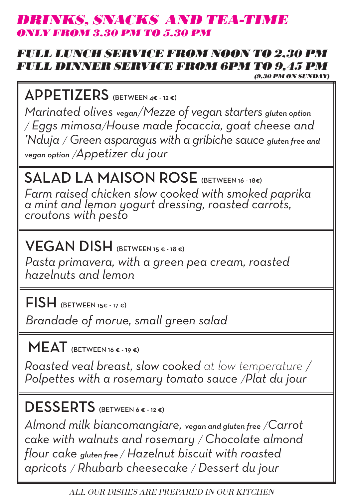#### BINKS, SNACKS AND TEA-TI ONLY FROM 3,30 PM TO 5.30 PM

## FULL LUNCH SERVICE FROM NOON TO 2,30 PM FULL DINNER SERVICE FROM 6PM TO 9,45 PM  $(9,30$  PM ON SUNDAY)

APPETIZERS (BETWEEN 4€ - 12 €)

*Marinated olives vegan/Mezze of vegan starters gluten option / Eggs mimosa/House made focaccia, goat cheese and 'Nduja / Green asparagus with a gribiche sauce gluten free and vegan option /Appetizer du jour*

#### SALAD LA MAISON ROSE (BETWEEN 16 - 18€)

*Farm raised chicken slow cooked with smoked paprika a mint and lemon yogurt dressing, roasted carrots, croutons with pesto*

VEGAN DISH (BETWEEN 15 € - 18 €)

*Pasta primavera, with a green pea cream, roasted hazelnuts and lemon*

FISH (BETWEEN 15€ - 17 €)

*Brandade of morue, small green salad*

 $MEAT$  (BETWEEN 16 € - 19 €)

*Roasted veal breast, slow cooked at low temperature / Polpettes with a rosemary tomato sauce /Plat du jour*

DESSERTS (BETWEEN 6€-12€)

*Almond milk biancomangiare, vegan and gluten free /Carrot cake with walnuts and rosemary / Chocolate almond flour cake gluten free / Hazelnut biscuit with roasted apricots / Rhubarb cheesecake / Dessert du jour* 

ALL OUR DISHES ARE PREPARED IN OUR KITCHEN